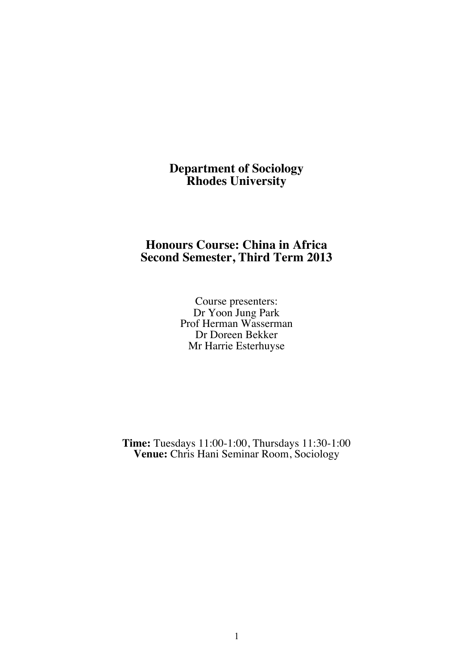# **Department of Sociology Rhodes University**

# **Honours Course: China in Africa Second Semester, Third Term 2013**

Course presenters: Dr Yoon Jung Park Prof Herman Wasserman Dr Doreen Bekker Mr Harrie Esterhuyse

**Time:** Tuesdays 11:00-1:00, Thursdays 11:30-1:00 **Venue:** Chris Hani Seminar Room, Sociology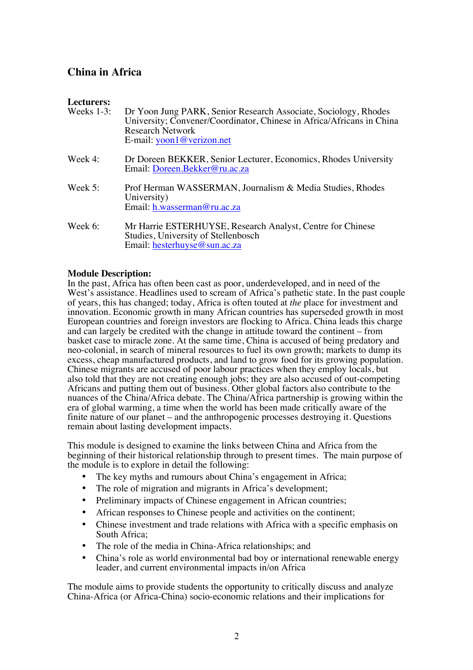# **China in Africa**

| Lecturers:    |                                                                                                                                                                                                           |
|---------------|-----------------------------------------------------------------------------------------------------------------------------------------------------------------------------------------------------------|
| Weeks $1-3$ : | Dr Yoon Jung PARK, Senior Research Associate, Sociology, Rhodes<br>University; Convener/Coordinator, Chinese in Africa/Africans in China<br><b>Research Network</b><br>E-mail: $\text{yoon1@verizon.net}$ |
| Week 4:       | Dr Doreen BEKKER, Senior Lecturer, Economics, Rhodes University<br>Email: Doreen.Bekker@ru.ac.za                                                                                                          |
| Week $5:$     | Prof Herman WASSERMAN, Journalism & Media Studies, Rhodes<br>University)<br>Email: h.wasserman@ru.ac.za                                                                                                   |
| Week 6:       | Mr Harrie ESTERHUYSE, Research Analyst, Centre for Chinese<br>Studies, University of Stellenbosch<br>Email: hesterhuyse@sun.ac.za                                                                         |

#### **Module Description:**

In the past, Africa has often been cast as poor, underdeveloped, and in need of the West's assistance. Headlines used to scream of Africa's pathetic state. In the past couple of years, this has changed; today, Africa is often touted at *the* place for investment and innovation. Economic growth in many African countries has superseded growth in most European countries and foreign investors are flocking to Africa. China leads this charge and can largely be credited with the change in attitude toward the continent – from basket case to miracle zone. At the same time, China is accused of being predatory and neo-colonial, in search of mineral resources to fuel its own growth; markets to dump its excess, cheap manufactured products, and land to grow food for its growing population. Chinese migrants are accused of poor labour practices when they employ locals, but also told that they are not creating enough jobs; they are also accused of out-competing Africans and putting them out of business. Other global factors also contribute to the nuances of the China/Africa debate. The China/Africa partnership is growing within the era of global warming, a time when the world has been made critically aware of the finite nature of our planet – and the anthropogenic processes destroying it. Questions remain about lasting development impacts.

This module is designed to examine the links between China and Africa from the beginning of their historical relationship through to present times. The main purpose of the module is to explore in detail the following:

- The key myths and rumours about China's engagement in Africa;
- The role of migration and migrants in Africa's development;
- Preliminary impacts of Chinese engagement in African countries;
- African responses to Chinese people and activities on the continent;
- Chinese investment and trade relations with Africa with a specific emphasis on South Africa;
- The role of the media in China-Africa relationships; and
- China's role as world environmental bad boy or international renewable energy leader, and current environmental impacts in/on Africa

The module aims to provide students the opportunity to critically discuss and analyze China-Africa (or Africa-China) socio-economic relations and their implications for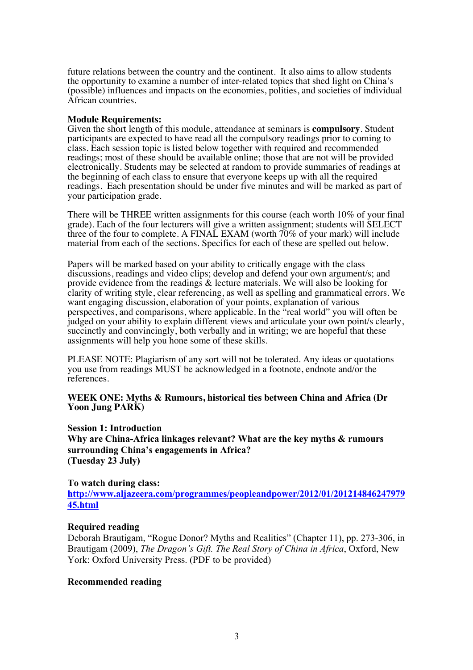future relations between the country and the continent. It also aims to allow students the opportunity to examine a number of inter-related topics that shed light on China's (possible) influences and impacts on the economies, polities, and societies of individual African countries.

#### **Module Requirements:**

Given the short length of this module, attendance at seminars is **compulsory**. Student participants are expected to have read all the compulsory readings prior to coming to class. Each session topic is listed below together with required and recommended readings; most of these should be available online; those that are not will be provided electronically. Students may be selected at random to provide summaries of readings at the beginning of each class to ensure that everyone keeps up with all the required readings. Each presentation should be under five minutes and will be marked as part of your participation grade.

There will be THREE written assignments for this course (each worth 10% of your final grade). Each of the four lecturers will give a written assignment; students will SELECT three of the four to complete. A FINAL EXAM (worth  $70\%$  of your mark) will include material from each of the sections. Specifics for each of these are spelled out below.

Papers will be marked based on your ability to critically engage with the class discussions, readings and video clips; develop and defend your own argument/s; and provide evidence from the readings & lecture materials. We will also be looking for clarity of writing style, clear referencing, as well as spelling and grammatical errors. We want engaging discussion, elaboration of your points, explanation of various perspectives, and comparisons, where applicable. In the "real world" you will often be judged on your ability to explain different views and articulate your own point/s clearly, succinctly and convincingly, both verbally and in writing; we are hopeful that these assignments will help you hone some of these skills.

PLEASE NOTE: Plagiarism of any sort will not be tolerated. Any ideas or quotations you use from readings MUST be acknowledged in a footnote, endnote and/or the references.

#### **WEEK ONE: Myths & Rumours, historical ties between China and Africa (Dr Yoon Jung PARK)**

**Session 1: Introduction**

**Why are China-Africa linkages relevant? What are the key myths & rumours surrounding China's engagements in Africa? (Tuesday 23 July)**

#### **To watch during class:**

**http://www.aljazeera.com/programmes/peopleandpower/2012/01/201214846247979 45.html**

#### **Required reading**

Deborah Brautigam, "Rogue Donor? Myths and Realities" (Chapter 11), pp. 273-306, in Brautigam (2009), *The Dragon's Gift. The Real Story of China in Africa*, Oxford, New York: Oxford University Press. (PDF to be provided)

#### **Recommended reading**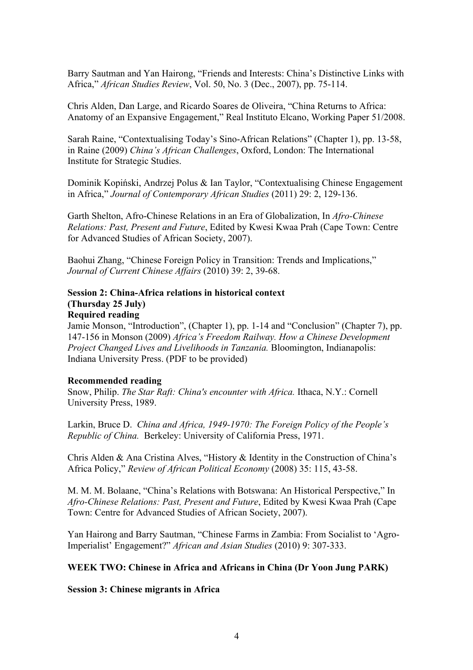Barry Sautman and Yan Hairong, "Friends and Interests: China's Distinctive Links with Africa," *African Studies Review*, Vol. 50, No. 3 (Dec., 2007), pp. 75-114.

Chris Alden, Dan Large, and Ricardo Soares de Oliveira, "China Returns to Africa: Anatomy of an Expansive Engagement," Real Instituto Elcano, Working Paper 51/2008.

Sarah Raine, "Contextualising Today's Sino-African Relations" (Chapter 1), pp. 13-58, in Raine (2009) *China's African Challenges*, Oxford, London: The International Institute for Strategic Studies.

Dominik Kopiński, Andrzej Polus & Ian Taylor, "Contextualising Chinese Engagement in Africa," *Journal of Contemporary African Studies* (2011) 29: 2, 129-136.

Garth Shelton, Afro-Chinese Relations in an Era of Globalization, In *Afro-Chinese Relations: Past, Present and Future*, Edited by Kwesi Kwaa Prah (Cape Town: Centre for Advanced Studies of African Society, 2007).

Baohui Zhang, "Chinese Foreign Policy in Transition: Trends and Implications," *Journal of Current Chinese Affairs* (2010) 39: 2, 39-68.

#### **Session 2: China-Africa relations in historical context (Thursday 25 July) Required reading**

Jamie Monson, "Introduction", (Chapter 1), pp. 1-14 and "Conclusion" (Chapter 7), pp. 147-156 in Monson (2009) *Africa's Freedom Railway. How a Chinese Development Project Changed Lives and Livelihoods in Tanzania.* Bloomington, Indianapolis: Indiana University Press. (PDF to be provided)

#### **Recommended reading**

Snow, Philip. *The Star Raft: China's encounter with Africa.* Ithaca, N.Y.: Cornell University Press, 1989.

Larkin, Bruce D. *China and Africa, 1949-1970: The Foreign Policy of the People's Republic of China.* Berkeley: University of California Press, 1971.

Chris Alden & Ana Cristina Alves, "History & Identity in the Construction of China's Africa Policy," *Review of African Political Economy* (2008) 35: 115, 43-58.

M. M. M. Bolaane, "China's Relations with Botswana: An Historical Perspective," In *Afro-Chinese Relations: Past, Present and Future*, Edited by Kwesi Kwaa Prah (Cape Town: Centre for Advanced Studies of African Society, 2007).

Yan Hairong and Barry Sautman, "Chinese Farms in Zambia: From Socialist to 'Agro-Imperialist' Engagement?" *African and Asian Studies* (2010) 9: 307-333.

#### **WEEK TWO: Chinese in Africa and Africans in China (Dr Yoon Jung PARK)**

**Session 3: Chinese migrants in Africa**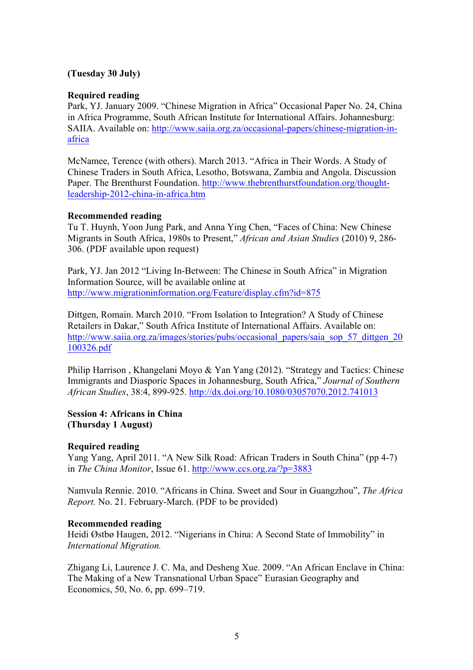# **(Tuesday 30 July)**

### **Required reading**

Park, YJ. January 2009. "Chinese Migration in Africa" Occasional Paper No. 24, China in Africa Programme, South African Institute for International Affairs. Johannesburg: SAIIA. Available on: http://www.saiia.org.za/occasional-papers/chinese-migration-inafrica

McNamee, Terence (with others). March 2013. "Africa in Their Words. A Study of Chinese Traders in South Africa, Lesotho, Botswana, Zambia and Angola. Discussion Paper. The Brenthurst Foundation. http://www.thebrenthurstfoundation.org/thoughtleadership-2012-china-in-africa.htm

#### **Recommended reading**

Tu T. Huynh, Yoon Jung Park, and Anna Ying Chen, "Faces of China: New Chinese Migrants in South Africa, 1980s to Present," *African and Asian Studies* (2010) 9, 286- 306. (PDF available upon request)

Park, YJ. Jan 2012 "Living In-Between: The Chinese in South Africa" in Migration Information Source, will be available online at http://www.migrationinformation.org/Feature/display.cfm?id=875

Dittgen, Romain. March 2010. "From Isolation to Integration? A Study of Chinese Retailers in Dakar," South Africa Institute of International Affairs. Available on: http://www.saiia.org.za/images/stories/pubs/occasional\_papers/saia\_sop\_57\_dittgen\_20 100326.pdf

Philip Harrison , Khangelani Moyo & Yan Yang (2012). "Strategy and Tactics: Chinese Immigrants and Diasporic Spaces in Johannesburg, South Africa," *Journal of Southern African Studies*, 38:4, 899-925. http://dx.doi.org/10.1080/03057070.2012.741013

# **Session 4: Africans in China (Thursday 1 August)**

#### **Required reading**

Yang Yang, April 2011. "A New Silk Road: African Traders in South China" (pp 4-7) in *The China Monitor*, Issue 61. http://www.ccs.org.za/?p=3883

Namvula Rennie. 2010. "Africans in China. Sweet and Sour in Guangzhou", *The Africa Report.* No. 21. February-March. (PDF to be provided)

#### **Recommended reading**

Heidi Østbø Haugen, 2012. "Nigerians in China: A Second State of Immobility" in *International Migration.*

Zhigang Li, Laurence J. C. Ma, and Desheng Xue. 2009. "An African Enclave in China: The Making of a New Transnational Urban Space" Eurasian Geography and Economics, 50, No. 6, pp. 699–719.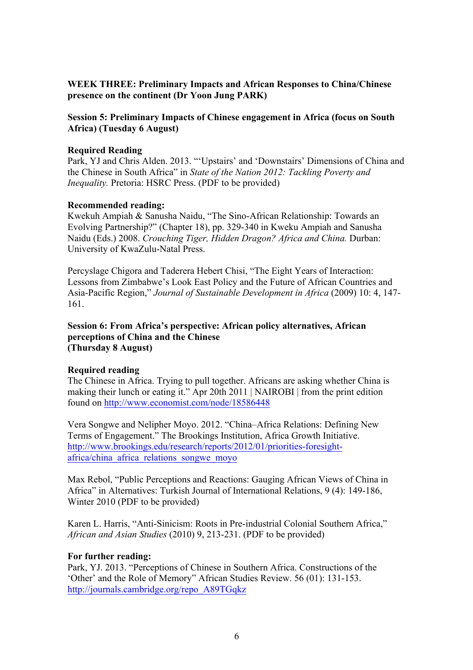# **WEEK THREE: Preliminary Impacts and African Responses to China/Chinese presence on the continent (Dr Yoon Jung PARK)**

# **Session 5: Preliminary Impacts of Chinese engagement in Africa (focus on South Africa) (Tuesday 6 August)**

## **Required Reading**

Park, YJ and Chris Alden. 2013. "'Upstairs' and 'Downstairs' Dimensions of China and the Chinese in South Africa" in *State of the Nation 2012: Tackling Poverty and Inequality.* Pretoria: HSRC Press. (PDF to be provided)

## **Recommended reading:**

Kwekuh Ampiah & Sanusha Naidu, "The Sino-African Relationship: Towards an Evolving Partnership?" (Chapter 18), pp. 329-340 in Kweku Ampiah and Sanusha Naidu (Eds.) 2008. *Crouching Tiger, Hidden Dragon? Africa and China.* Durban: University of KwaZulu-Natal Press.

Percyslage Chigora and Taderera Hebert Chisi, "The Eight Years of Interaction: Lessons from Zimbabwe's Look East Policy and the Future of African Countries and Asia-Pacific Region," *Journal of Sustainable Development in Africa* (2009) 10: 4, 147- 161.

### **Session 6: From Africa's perspective: African policy alternatives, African perceptions of China and the Chinese (Thursday 8 August)**

#### **Required reading**

The Chinese in Africa. Trying to pull together. Africans are asking whether China is making their lunch or eating it." Apr 20th 2011 | NAIROBI | from the print edition found on http://www.economist.com/node/18586448

Vera Songwe and Nelipher Moyo. 2012. "China–Africa Relations: Defining New Terms of Engagement." The Brookings Institution, Africa Growth Initiative. http://www.brookings.edu/research/reports/2012/01/priorities-foresightafrica/china\_africa\_relations\_songwe\_moyo

Max Rebol, "Public Perceptions and Reactions: Gauging African Views of China in Africa" in Alternatives: Turkish Journal of International Relations, 9 (4): 149-186, Winter 2010 (PDF to be provided)

Karen L. Harris, "Anti-Sinicism: Roots in Pre-industrial Colonial Southern Africa," *African and Asian Studies* (2010) 9, 213-231. (PDF to be provided)

#### **For further reading:**

Park, YJ. 2013. "Perceptions of Chinese in Southern Africa. Constructions of the 'Other' and the Role of Memory" African Studies Review. 56 (01): 131-153. http://journals.cambridge.org/repo\_A89TGqkz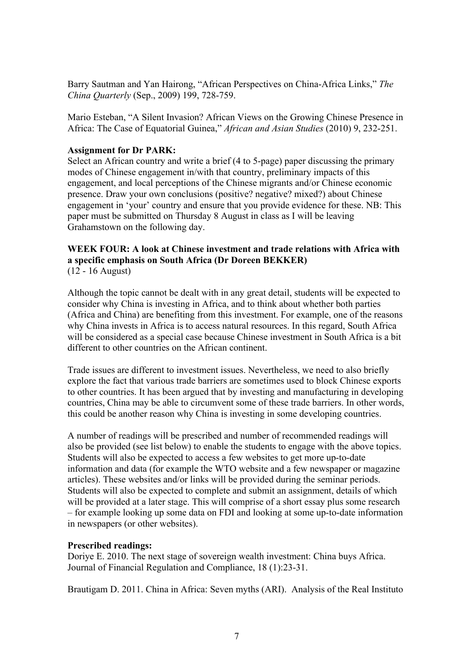Barry Sautman and Yan Hairong, "African Perspectives on China-Africa Links," *The China Quarterly* (Sep., 2009) 199, 728-759.

Mario Esteban, "A Silent Invasion? African Views on the Growing Chinese Presence in Africa: The Case of Equatorial Guinea," *African and Asian Studies* (2010) 9, 232-251.

## **Assignment for Dr PARK:**

Select an African country and write a brief (4 to 5-page) paper discussing the primary modes of Chinese engagement in/with that country, preliminary impacts of this engagement, and local perceptions of the Chinese migrants and/or Chinese economic presence. Draw your own conclusions (positive? negative? mixed?) about Chinese engagement in 'your' country and ensure that you provide evidence for these. NB: This paper must be submitted on Thursday 8 August in class as I will be leaving Grahamstown on the following day.

#### **WEEK FOUR: A look at Chinese investment and trade relations with Africa with a specific emphasis on South Africa (Dr Doreen BEKKER)** (12 - 16 August)

Although the topic cannot be dealt with in any great detail, students will be expected to consider why China is investing in Africa, and to think about whether both parties (Africa and China) are benefiting from this investment. For example, one of the reasons why China invests in Africa is to access natural resources. In this regard, South Africa will be considered as a special case because Chinese investment in South Africa is a bit different to other countries on the African continent.

Trade issues are different to investment issues. Nevertheless, we need to also briefly explore the fact that various trade barriers are sometimes used to block Chinese exports to other countries. It has been argued that by investing and manufacturing in developing countries, China may be able to circumvent some of these trade barriers. In other words, this could be another reason why China is investing in some developing countries.

A number of readings will be prescribed and number of recommended readings will also be provided (see list below) to enable the students to engage with the above topics. Students will also be expected to access a few websites to get more up-to-date information and data (for example the WTO website and a few newspaper or magazine articles). These websites and/or links will be provided during the seminar periods. Students will also be expected to complete and submit an assignment, details of which will be provided at a later stage. This will comprise of a short essay plus some research – for example looking up some data on FDI and looking at some up-to-date information in newspapers (or other websites).

#### **Prescribed readings:**

Doriye E. 2010. The next stage of sovereign wealth investment: China buys Africa. Journal of Financial Regulation and Compliance, 18 (1):23-31.

Brautigam D. 2011. China in Africa: Seven myths (ARI). Analysis of the Real Instituto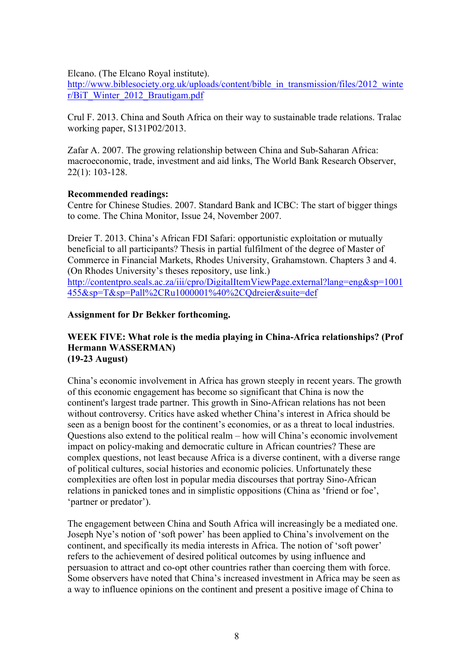Elcano. (The Elcano Royal institute).

http://www.biblesociety.org.uk/uploads/content/bible\_in\_transmission/files/2012\_winte r/BiT\_Winter\_2012\_Brautigam.pdf

Crul F. 2013. China and South Africa on their way to sustainable trade relations. Tralac working paper, S131P02/2013.

Zafar A. 2007. The growing relationship between China and Sub-Saharan Africa: macroeconomic, trade, investment and aid links, The World Bank Research Observer, 22(1): 103-128.

#### **Recommended readings:**

Centre for Chinese Studies. 2007. Standard Bank and ICBC: The start of bigger things to come. The China Monitor, Issue 24, November 2007.

Dreier T. 2013. China's African FDI Safari: opportunistic exploitation or mutually beneficial to all participants? Thesis in partial fulfilment of the degree of Master of Commerce in Financial Markets, Rhodes University, Grahamstown. Chapters 3 and 4. (On Rhodes University's theses repository, use link.)

http://contentpro.seals.ac.za/iii/cpro/DigitalItemViewPage.external?lang=eng&sp=1001 455&sp=T&sp=Pall%2CRu1000001%40%2CQdreier&suite=def

#### **Assignment for Dr Bekker forthcoming.**

#### **WEEK FIVE: What role is the media playing in China-Africa relationships? (Prof Hermann WASSERMAN) (19-23 August)**

China's economic involvement in Africa has grown steeply in recent years. The growth of this economic engagement has become so significant that China is now the continent's largest trade partner. This growth in Sino-African relations has not been without controversy. Critics have asked whether China's interest in Africa should be seen as a benign boost for the continent's economies, or as a threat to local industries. Questions also extend to the political realm – how will China's economic involvement impact on policy-making and democratic culture in African countries? These are complex questions, not least because Africa is a diverse continent, with a diverse range of political cultures, social histories and economic policies. Unfortunately these complexities are often lost in popular media discourses that portray Sino-African relations in panicked tones and in simplistic oppositions (China as 'friend or foe', 'partner or predator').

The engagement between China and South Africa will increasingly be a mediated one. Joseph Nye's notion of 'soft power' has been applied to China's involvement on the continent, and specifically its media interests in Africa. The notion of 'soft power' refers to the achievement of desired political outcomes by using influence and persuasion to attract and co-opt other countries rather than coercing them with force. Some observers have noted that China's increased investment in Africa may be seen as a way to influence opinions on the continent and present a positive image of China to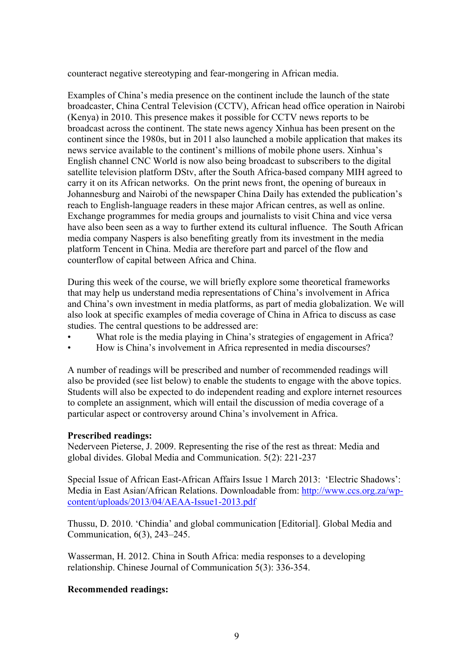counteract negative stereotyping and fear-mongering in African media.

Examples of China's media presence on the continent include the launch of the state broadcaster, China Central Television (CCTV), African head office operation in Nairobi (Kenya) in 2010. This presence makes it possible for CCTV news reports to be broadcast across the continent. The state news agency Xinhua has been present on the continent since the 1980s, but in 2011 also launched a mobile application that makes its news service available to the continent's millions of mobile phone users. Xinhua's English channel CNC World is now also being broadcast to subscribers to the digital satellite television platform DStv, after the South Africa-based company MIH agreed to carry it on its African networks. On the print news front, the opening of bureaux in Johannesburg and Nairobi of the newspaper China Daily has extended the publication's reach to English-language readers in these major African centres, as well as online. Exchange programmes for media groups and journalists to visit China and vice versa have also been seen as a way to further extend its cultural influence. The South African media company Naspers is also benefiting greatly from its investment in the media platform Tencent in China. Media are therefore part and parcel of the flow and counterflow of capital between Africa and China.

During this week of the course, we will briefly explore some theoretical frameworks that may help us understand media representations of China's involvement in Africa and China's own investment in media platforms, as part of media globalization. We will also look at specific examples of media coverage of China in Africa to discuss as case studies. The central questions to be addressed are:

- What role is the media playing in China's strategies of engagement in Africa?
- How is China's involvement in Africa represented in media discourses?

A number of readings will be prescribed and number of recommended readings will also be provided (see list below) to enable the students to engage with the above topics. Students will also be expected to do independent reading and explore internet resources to complete an assignment, which will entail the discussion of media coverage of a particular aspect or controversy around China's involvement in Africa.

#### **Prescribed readings:**

Nederveen Pieterse, J. 2009. Representing the rise of the rest as threat: Media and global divides. Global Media and Communication. 5(2): 221-237

Special Issue of African East-African Affairs Issue 1 March 2013: 'Electric Shadows': Media in East Asian/African Relations. Downloadable from: http://www.ccs.org.za/wpcontent/uploads/2013/04/AEAA-Issue1-2013.pdf

Thussu, D. 2010. 'Chindia' and global communication [Editorial]. Global Media and Communication, 6(3), 243–245.

Wasserman, H. 2012. China in South Africa: media responses to a developing relationship. Chinese Journal of Communication 5(3): 336-354.

#### **Recommended readings:**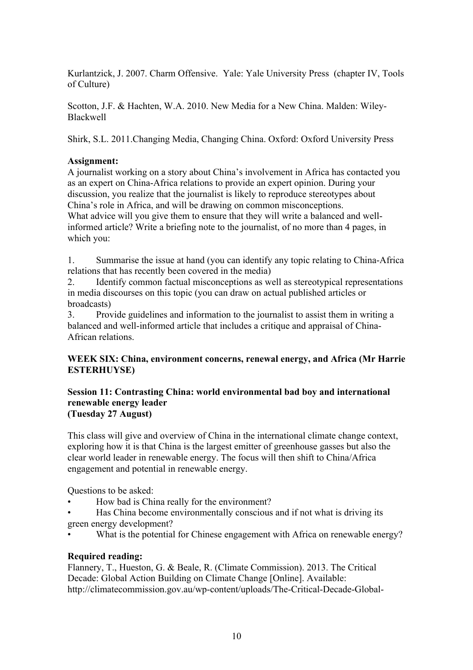Kurlantzick, J. 2007. Charm Offensive. Yale: Yale University Press (chapter IV, Tools of Culture)

Scotton, J.F. & Hachten, W.A. 2010. New Media for a New China. Malden: Wiley-Blackwell

Shirk, S.L. 2011.Changing Media, Changing China. Oxford: Oxford University Press

# **Assignment:**

A journalist working on a story about China's involvement in Africa has contacted you as an expert on China-Africa relations to provide an expert opinion. During your discussion, you realize that the journalist is likely to reproduce stereotypes about China's role in Africa, and will be drawing on common misconceptions. What advice will you give them to ensure that they will write a balanced and wellinformed article? Write a briefing note to the journalist, of no more than 4 pages, in which you:

1. Summarise the issue at hand (you can identify any topic relating to China-Africa relations that has recently been covered in the media)

2. Identify common factual misconceptions as well as stereotypical representations in media discourses on this topic (you can draw on actual published articles or broadcasts)

3. Provide guidelines and information to the journalist to assist them in writing a balanced and well-informed article that includes a critique and appraisal of China-African relations.

# **WEEK SIX: China, environment concerns, renewal energy, and Africa (Mr Harrie ESTERHUYSE)**

### **Session 11: Contrasting China: world environmental bad boy and international renewable energy leader (Tuesday 27 August)**

This class will give and overview of China in the international climate change context, exploring how it is that China is the largest emitter of greenhouse gasses but also the clear world leader in renewable energy. The focus will then shift to China/Africa engagement and potential in renewable energy.

Questions to be asked:

- How bad is China really for the environment?
- Has China become environmentally conscious and if not what is driving its green energy development?
- What is the potential for Chinese engagement with Africa on renewable energy?

# **Required reading:**

Flannery, T., Hueston, G. & Beale, R. (Climate Commission). 2013. The Critical Decade: Global Action Building on Climate Change [Online]. Available: http://climatecommission.gov.au/wp-content/uploads/The-Critical-Decade-Global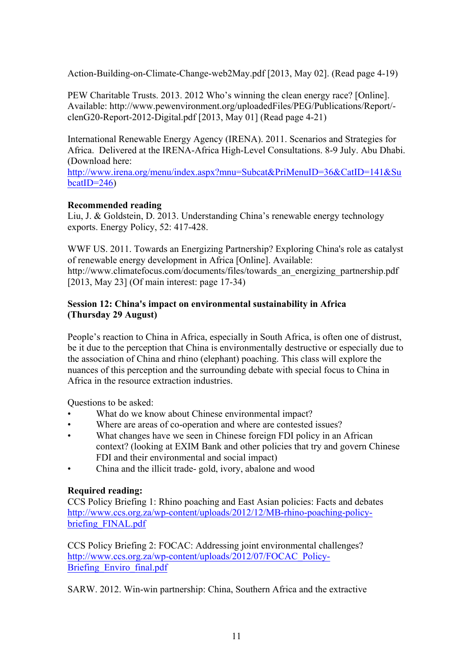Action-Building-on-Climate-Change-web2May.pdf [2013, May 02]. (Read page 4-19)

PEW Charitable Trusts. 2013. 2012 Who's winning the clean energy race? [Online]. Available: http://www.pewenvironment.org/uploadedFiles/PEG/Publications/Report/ clenG20-Report-2012-Digital.pdf [2013, May 01] (Read page 4-21)

International Renewable Energy Agency (IRENA). 2011. Scenarios and Strategies for Africa. Delivered at the IRENA-Africa High-Level Consultations. 8-9 July. Abu Dhabi. (Download here:

http://www.irena.org/menu/index.aspx?mnu=Subcat&PriMenuID=36&CatID=141&Su  $\text{bcatID}=246$ 

# **Recommended reading**

Liu, J. & Goldstein, D. 2013. Understanding China's renewable energy technology exports. Energy Policy, 52: 417-428.

WWF US. 2011. Towards an Energizing Partnership? Exploring China's role as catalyst of renewable energy development in Africa [Online]. Available: http://www.climatefocus.com/documents/files/towards an energizing partnership.pdf [2013, May 23] (Of main interest: page 17-34)

# **Session 12: China's impact on environmental sustainability in Africa (Thursday 29 August)**

People's reaction to China in Africa, especially in South Africa, is often one of distrust, be it due to the perception that China is environmentally destructive or especially due to the association of China and rhino (elephant) poaching. This class will explore the nuances of this perception and the surrounding debate with special focus to China in Africa in the resource extraction industries.

Questions to be asked:

- What do we know about Chinese environmental impact?
- Where are areas of co-operation and where are contested issues?
- What changes have we seen in Chinese foreign FDI policy in an African context? (looking at EXIM Bank and other policies that try and govern Chinese FDI and their environmental and social impact)
- China and the illicit trade- gold, ivory, abalone and wood

# **Required reading:**

CCS Policy Briefing 1: Rhino poaching and East Asian policies: Facts and debates http://www.ccs.org.za/wp-content/uploads/2012/12/MB-rhino-poaching-policybriefing\_FINAL.pdf

CCS Policy Briefing 2: FOCAC: Addressing joint environmental challenges? http://www.ccs.org.za/wp-content/uploads/2012/07/FOCAC\_Policy-Briefing Enviro final.pdf

SARW. 2012. Win-win partnership: China, Southern Africa and the extractive